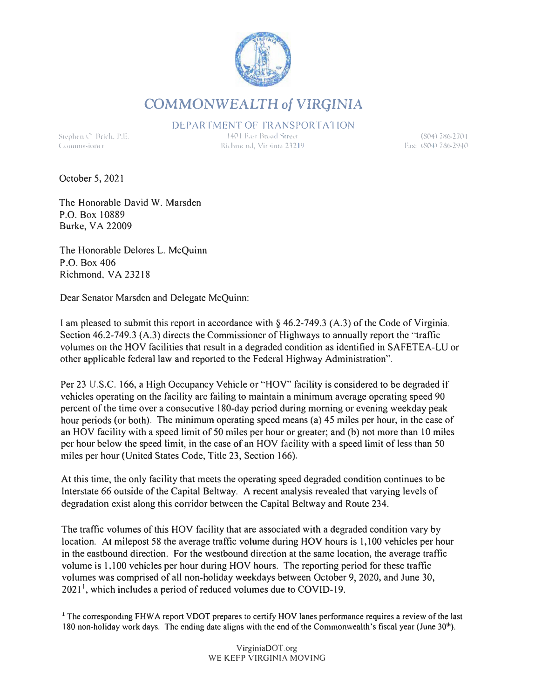

**COMMONWEALTH** *of* **VIRGINIA** 

DEPARTMENT OF TRANSPORTATION

Stephen **C**. Brich, P.E.  $C$  commissioner

**1401 East Bread Street "i,hm< 11,l, \ l ir •i111,t ?.Hl'J** 

**(804 l 786-27(\ I**  Fax: (804) 786-2940

October 5, 2021

The Honorable David W. Marsden P.O. Box l 0889 Burke, VA 22009

The Honorable Delores L. McQuinn P.O. Box 406 Richmond, VA 23218

Dear Senator Marsden and Delegate McQuinn:

I am pleased to submit this report in accordance with § 46.2-749.3 (A.3) of the Code of Virginia. Section  $46.2 - 749.3$  (A.3) directs the Commissioner of Highways to annually report the "traffic volumes on the HOV facilities that result in a degraded condition as identified in SAFETEA-LU or other applicable federal law and reported to the Federal Highway Administration".

Per 23 U.S.C. 166, a High Occupancy Vehicle or "HOV" facility is considered to be degraded if vehicles operating on the facility are failing to maintain a minimum average operating speed 90 percent of the time over a consecutive 180-day period during morning or evening weekday peak hour periods (or both). The minimum operating speed means (a) 45 miles per hour, in the case of an HOV facility with a speed limit of 50 miles per hour or greater; and (b) not more than 10 miles per hour below the speed limit, in the case of an HOV facility with a speed limit of less than 50 miles per hour (United States Code, Title 23, Section 166).

At this time, the only facility that meets the operating speed degraded condition continues to be Interstate 66 outside of the Capital Beltway. A recent analysis revealed that varying levels of degradation exist along this corridor between the Capital Beltway and Route 234.

The traffic volumes of this HOV facility that are associated with a degraded condition vary by location. At milepost 58 the average traffic volume during HOV hours is 1,100 vehicles per hour in the eastbound direction. For the westbound direction at the same location, the average traffic volume is 1,100 vehicles per hour during HOV hours. The reporting period for these traffic volumes was comprised of all non-holiday weekdays between October 9, 2020, and June 30,  $2021<sup>1</sup>$ , which includes a period of reduced volumes due to COVID-19.

<sup>1</sup> The corresponding FHWA report VDOT prepares to certify HOV lanes performance requires a review of the last 180 non-holiday work days. The ending date aligns with the end of the Commonwealth's fiscal year (June  $30<sup>th</sup>$ ).

> VirginiaDOT.org WE KEEP VIRGINIA MOVING